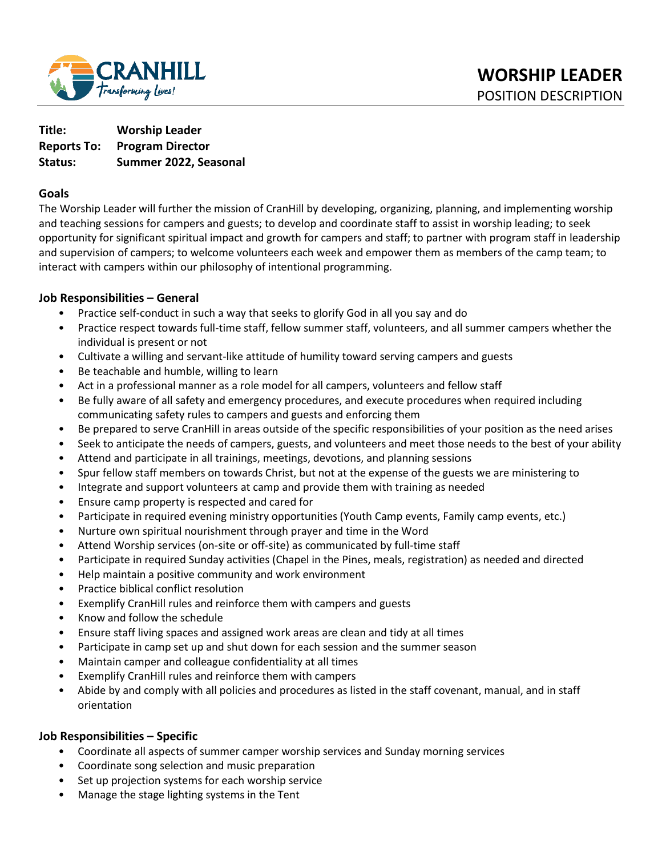

**Title: Worship Leader Reports To: Program Director Status: Summer 2022, Seasonal** 

### **Goals**

The Worship Leader will further the mission of CranHill by developing, organizing, planning, and implementing worship and teaching sessions for campers and guests; to develop and coordinate staff to assist in worship leading; to seek opportunity for significant spiritual impact and growth for campers and staff; to partner with program staff in leadership and supervision of campers; to welcome volunteers each week and empower them as members of the camp team; to interact with campers within our philosophy of intentional programming.

### **Job Responsibilities – General**

- Practice self-conduct in such a way that seeks to glorify God in all you say and do
- Practice respect towards full-time staff, fellow summer staff, volunteers, and all summer campers whether the individual is present or not
- Cultivate a willing and servant-like attitude of humility toward serving campers and guests
- Be teachable and humble, willing to learn
- Act in a professional manner as a role model for all campers, volunteers and fellow staff
- Be fully aware of all safety and emergency procedures, and execute procedures when required including communicating safety rules to campers and guests and enforcing them
- Be prepared to serve CranHill in areas outside of the specific responsibilities of your position as the need arises
- Seek to anticipate the needs of campers, guests, and volunteers and meet those needs to the best of your ability
- Attend and participate in all trainings, meetings, devotions, and planning sessions
- Spur fellow staff members on towards Christ, but not at the expense of the guests we are ministering to
- Integrate and support volunteers at camp and provide them with training as needed
- Ensure camp property is respected and cared for
- Participate in required evening ministry opportunities (Youth Camp events, Family camp events, etc.)
- Nurture own spiritual nourishment through prayer and time in the Word
- Attend Worship services (on-site or off-site) as communicated by full-time staff
- Participate in required Sunday activities (Chapel in the Pines, meals, registration) as needed and directed
- Help maintain a positive community and work environment
- Practice biblical conflict resolution
- Exemplify CranHill rules and reinforce them with campers and guests
- Know and follow the schedule
- Ensure staff living spaces and assigned work areas are clean and tidy at all times
- Participate in camp set up and shut down for each session and the summer season
- Maintain camper and colleague confidentiality at all times
- Exemplify CranHill rules and reinforce them with campers
- Abide by and comply with all policies and procedures as listed in the staff covenant, manual, and in staff orientation

#### **Job Responsibilities – Specific**

- Coordinate all aspects of summer camper worship services and Sunday morning services
- Coordinate song selection and music preparation
- Set up projection systems for each worship service
- Manage the stage lighting systems in the Tent